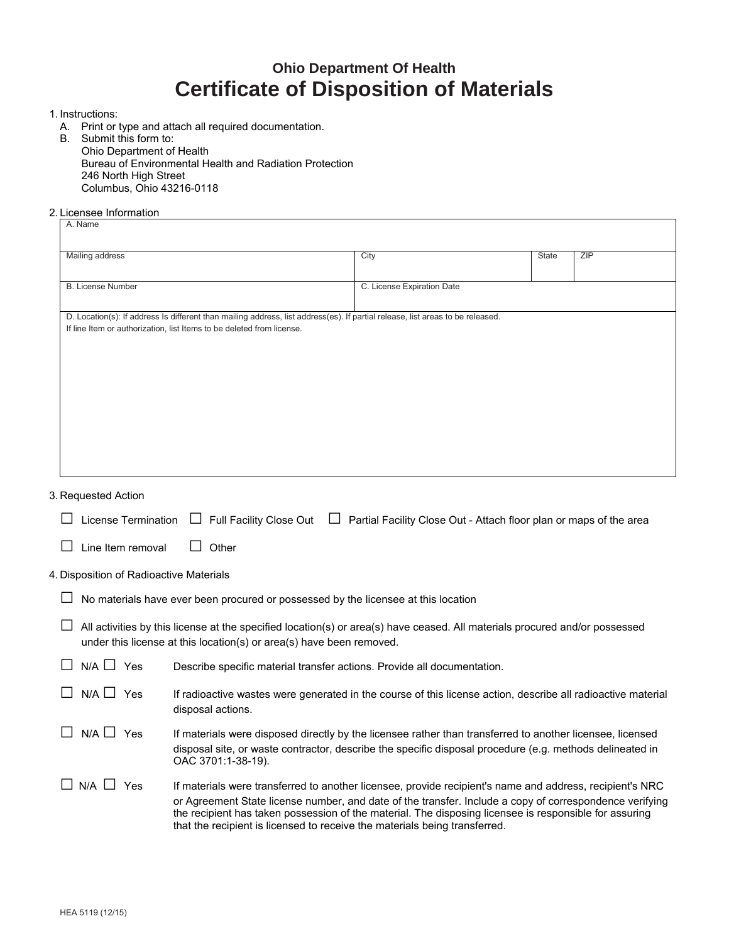## **Ohio Department Of Health Certificate of Disposition of Materials**

- 1. Instructions:
	- A. Print or type and attach all required documentation.
	- B. Submit this form to: Ohio Department of Health Bureau of Environmental Health and Radiation Protection 246 North High Street Columbus, Ohio 43216-0118
- 2. Licensee Information

| Mailing address                                                       | City                                                                                                                           | State | ZIP |
|-----------------------------------------------------------------------|--------------------------------------------------------------------------------------------------------------------------------|-------|-----|
| <b>B.</b> License Number                                              | C. License Expiration Date                                                                                                     |       |     |
|                                                                       | D. Location(s): If address Is different than mailing address, list address(es). If partial release, list areas to be released. |       |     |
| If line Item or authorization, list Items to be deleted from license. |                                                                                                                                |       |     |
|                                                                       |                                                                                                                                |       |     |
|                                                                       |                                                                                                                                |       |     |
|                                                                       |                                                                                                                                |       |     |
|                                                                       |                                                                                                                                |       |     |
|                                                                       |                                                                                                                                |       |     |
|                                                                       |                                                                                                                                |       |     |
|                                                                       |                                                                                                                                |       |     |
|                                                                       |                                                                                                                                |       |     |
|                                                                       |                                                                                                                                |       |     |

| License Termination                     | □ Full Facility Close Out<br>Partial Facility Close Out - Attach floor plan or maps of the area                                                                                                                                                                                                                                                                                                             |
|-----------------------------------------|-------------------------------------------------------------------------------------------------------------------------------------------------------------------------------------------------------------------------------------------------------------------------------------------------------------------------------------------------------------------------------------------------------------|
| Line Item removal                       | Other                                                                                                                                                                                                                                                                                                                                                                                                       |
| 4. Disposition of Radioactive Materials |                                                                                                                                                                                                                                                                                                                                                                                                             |
|                                         | No materials have ever been procured or possessed by the licensee at this location                                                                                                                                                                                                                                                                                                                          |
|                                         | All activities by this license at the specified location(s) or area(s) have ceased. All materials procured and/or possessed<br>under this license at this location(s) or area(s) have been removed.                                                                                                                                                                                                         |
| $N/A \Box$ Yes                          | Describe specific material transfer actions. Provide all documentation.                                                                                                                                                                                                                                                                                                                                     |
| $N/A \Box$ Yes                          | If radioactive wastes were generated in the course of this license action, describe all radioactive material<br>disposal actions.                                                                                                                                                                                                                                                                           |
| $N/A \sqcup Yes$                        | If materials were disposed directly by the licensee rather than transferred to another licensee, licensed<br>disposal site, or waste contractor, describe the specific disposal procedure (e.g. methods delineated in<br>OAC 3701:1-38-19).                                                                                                                                                                 |
| $\Box$ N/A $\Box$<br>Yes                | If materials were transferred to another licensee, provide recipient's name and address, recipient's NRC<br>or Agreement State license number, and date of the transfer. Include a copy of correspondence verifying<br>the recipient has taken possession of the material. The disposing licensee is responsible for assuring<br>that the recipient is licensed to receive the materials being transferred. |